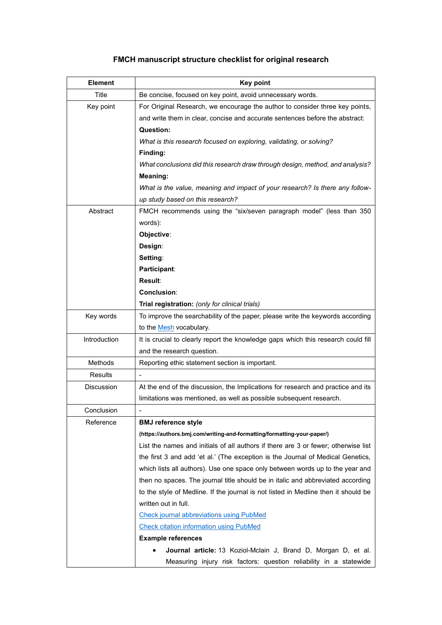## **FMCH manuscript structure checklist for original research**

| <b>Element</b>    | <b>Key point</b>                                                                   |
|-------------------|------------------------------------------------------------------------------------|
| <b>Title</b>      | Be concise, focused on key point, avoid unnecessary words.                         |
| Key point         | For Original Research, we encourage the author to consider three key points,       |
|                   | and write them in clear, concise and accurate sentences before the abstract:       |
|                   | Question:                                                                          |
|                   | What is this research focused on exploring, validating, or solving?                |
|                   | Finding:                                                                           |
|                   | What conclusions did this research draw through design, method, and analysis?      |
|                   | Meaning:                                                                           |
|                   | What is the value, meaning and impact of your research? Is there any follow-       |
|                   | up study based on this research?                                                   |
| Abstract          | FMCH recommends using the "six/seven paragraph model" (less than 350               |
|                   | words):                                                                            |
|                   | Objective:                                                                         |
|                   | Design:                                                                            |
|                   | Setting:                                                                           |
|                   | Participant:                                                                       |
|                   | Result:                                                                            |
|                   | Conclusion:                                                                        |
|                   | Trial registration: (only for clinical trials)                                     |
| Key words         | To improve the searchability of the paper, please write the keywords according     |
|                   | to the <b>Mesh</b> vocabulary.                                                     |
| Introduction      | It is crucial to clearly report the knowledge gaps which this research could fill  |
|                   | and the research question.                                                         |
| Methods           | Reporting ethic statement section is important.                                    |
| <b>Results</b>    |                                                                                    |
| <b>Discussion</b> | At the end of the discussion, the Implications for research and practice and its   |
|                   | limitations was mentioned, as well as possible subsequent research.                |
| Conclusion        |                                                                                    |
| Reference         | <b>BMJ</b> reference style                                                         |
|                   | (https://authors.bmj.com/writing-and-formatting/formatting-your-paper/)            |
|                   | List the names and initials of all authors if there are 3 or fewer; otherwise list |
|                   | the first 3 and add 'et al.' (The exception is the Journal of Medical Genetics,    |
|                   | which lists all authors). Use one space only between words up to the year and      |
|                   | then no spaces. The journal title should be in italic and abbreviated according    |
|                   | to the style of Medline. If the journal is not listed in Medline then it should be |
|                   | written out in full.                                                               |
|                   | <b>Check journal abbreviations using PubMed</b>                                    |
|                   | <b>Check citation information using PubMed</b>                                     |
|                   | <b>Example references</b>                                                          |
|                   | <b>Journal article:</b> 13 Koziol-Mclain J, Brand D, Morgan D, et al.              |
|                   | Measuring injury risk factors: question reliability in a statewide                 |